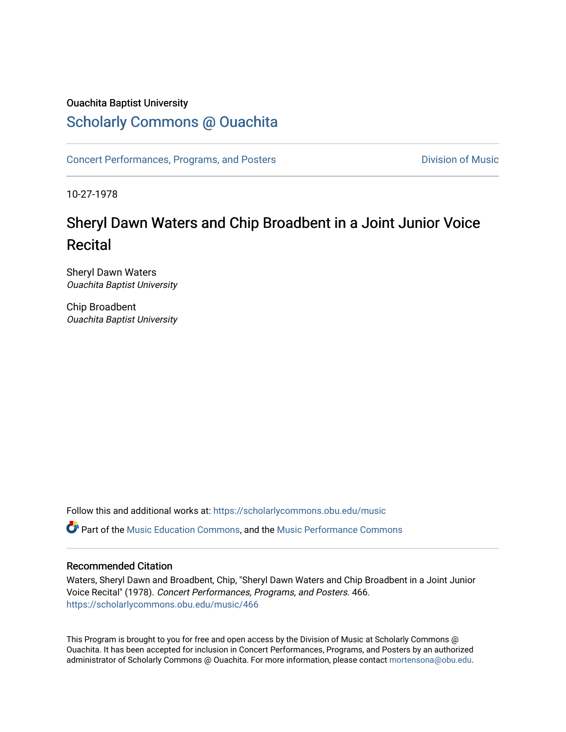### Ouachita Baptist University

## [Scholarly Commons @ Ouachita](https://scholarlycommons.obu.edu/)

[Concert Performances, Programs, and Posters](https://scholarlycommons.obu.edu/music) **Division of Music** Division of Music

10-27-1978

# Sheryl Dawn Waters and Chip Broadbent in a Joint Junior Voice Recital

Sheryl Dawn Waters Ouachita Baptist University

Chip Broadbent Ouachita Baptist University

Follow this and additional works at: [https://scholarlycommons.obu.edu/music](https://scholarlycommons.obu.edu/music?utm_source=scholarlycommons.obu.edu%2Fmusic%2F466&utm_medium=PDF&utm_campaign=PDFCoverPages) 

Part of the [Music Education Commons,](http://network.bepress.com/hgg/discipline/1246?utm_source=scholarlycommons.obu.edu%2Fmusic%2F466&utm_medium=PDF&utm_campaign=PDFCoverPages) and the [Music Performance Commons](http://network.bepress.com/hgg/discipline/1128?utm_source=scholarlycommons.obu.edu%2Fmusic%2F466&utm_medium=PDF&utm_campaign=PDFCoverPages) 

#### Recommended Citation

Waters, Sheryl Dawn and Broadbent, Chip, "Sheryl Dawn Waters and Chip Broadbent in a Joint Junior Voice Recital" (1978). Concert Performances, Programs, and Posters. 466. [https://scholarlycommons.obu.edu/music/466](https://scholarlycommons.obu.edu/music/466?utm_source=scholarlycommons.obu.edu%2Fmusic%2F466&utm_medium=PDF&utm_campaign=PDFCoverPages) 

This Program is brought to you for free and open access by the Division of Music at Scholarly Commons @ Ouachita. It has been accepted for inclusion in Concert Performances, Programs, and Posters by an authorized administrator of Scholarly Commons @ Ouachita. For more information, please contact [mortensona@obu.edu](mailto:mortensona@obu.edu).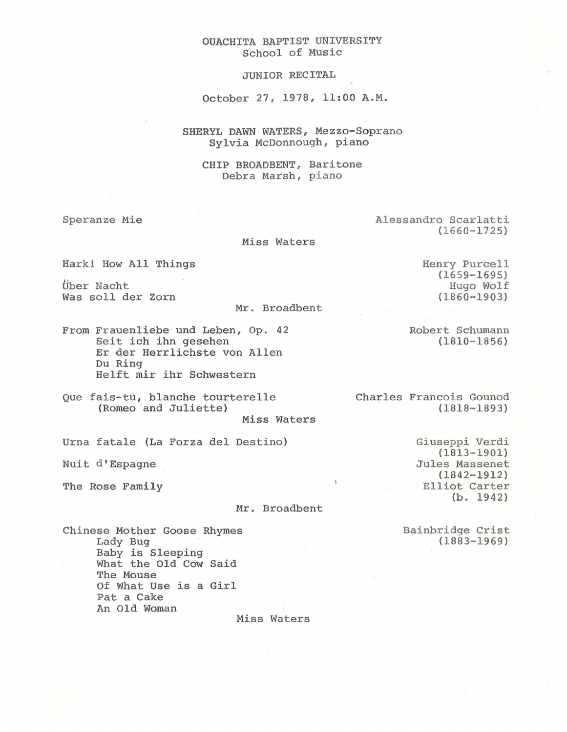#### OUACHITA BAPTIST UNIVERSITY School of Music

JUNIOR RECITAL

October 27, 1978, 11:00 A.M.

SHERYL DAWN WATERS, Mezzo-Soprano Sylvia McDonnough, piano

CHIP BROADBENT, Baritone Debra Marsh, piano

Speranze Mie **Alessandro Scarlatti** (1660-1725)

Miss Waters

Hark! How All Things

Uber Nacht Was soll der Zorn

Mr. Broadbent

From Frauenliebe und Leben, Op. 42 Seit ich ihn gesehen Er der Herrlichste von Allen Du Ring Helft mir ihr Schwestern

Que fais-tu, blanche tourterelle (Romeo and Juliette)

Miss Waters

Urna fatale (La Forza del Destine)

Nuit d'Espagne

The Rose Family

Mr. Broadbent

Chinese Mother Goose Rhymes Lady Bug Baby is Sleeping What the Old Cow Said The Mouse Of What Use is a Girl Pat a Cake An Old Woman

Miss Waters

(1659-1695) Hugo Wolf (1860-1903)

Henry Purcell

Robert Schumann (1810-1856)

Charles Francois Gounod (1818-1893)

> Giuseppi Verdi (1813-1901) Jules Massenet  $(1842 - 1912)$ Elliot Carter (b. 1942)

> > Bainbridge Crist (1883-1969)